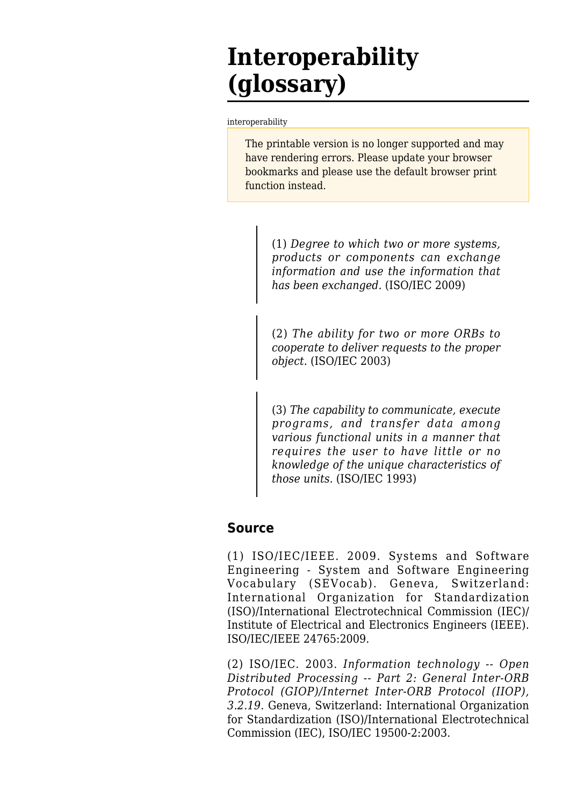## **Interoperability (glossary)**

[interoperability](http://www.sebokwiki.org/wiki/Interoperability_(glossary))

The printable version is no longer supported and may have rendering errors. Please update your browser bookmarks and please use the default browser print function instead.

(1) *Degree to which two or more systems, products or components can exchange information and use the information that has been exchanged.* (ISO/IEC 2009)

(2) *The ability for two or more ORBs to cooperate to deliver requests to the proper object.* (ISO/IEC 2003)

(3) *The capability to communicate, execute programs, and transfer data among various functional units in a manner that requires the user to have little or no knowledge of the unique characteristics of those units.* (ISO/IEC 1993)

## **Source**

(1) ISO/IEC/IEEE. 2009. Systems and Software Engineering - System and Software Engineering Vocabulary (SEVocab). Geneva, Switzerland: International Organization for Standardization (ISO)/International Electrotechnical Commission (IEC)/ Institute of Electrical and Electronics Engineers (IEEE). ISO/IEC/IEEE 24765:2009.

(2) ISO/IEC. 2003. *Information technology -- Open Distributed Processing -- Part 2: General Inter-ORB Protocol (GIOP)/Internet Inter-ORB Protocol (IIOP), 3.2.19*. Geneva, Switzerland: International Organization for Standardization (ISO)/International Electrotechnical Commission (IEC), ISO/IEC 19500-2:2003.